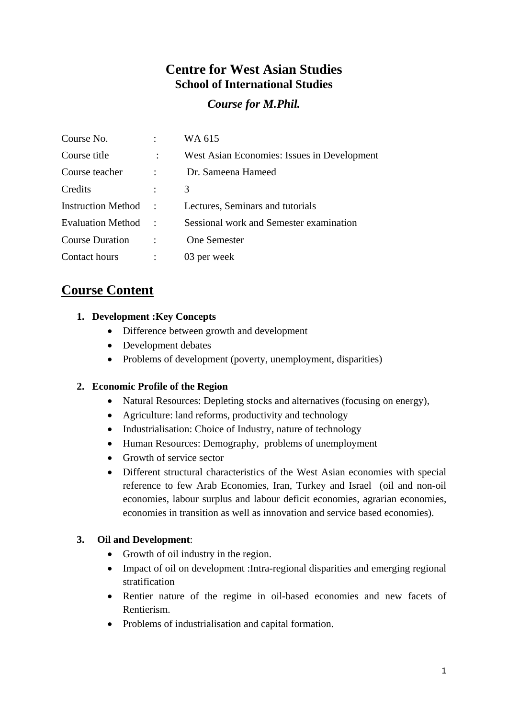## **Centre for West Asian Studies School of International Studies**

*Course for M.Phil.* 

| Course No.                |                      | WA 615                                      |
|---------------------------|----------------------|---------------------------------------------|
| Course title              |                      | West Asian Economies: Issues in Development |
| Course teacher            |                      | Dr. Sameena Hameed                          |
| Credits                   | $\ddot{\cdot}$       | 3                                           |
| <b>Instruction Method</b> | $\ddot{\phantom{a}}$ | Lectures, Seminars and tutorials            |
| <b>Evaluation Method</b>  |                      | Sessional work and Semester examination     |
| <b>Course Duration</b>    |                      | <b>One Semester</b>                         |
| Contact hours             |                      | 03 per week                                 |

# **Course Content**

## **1. Development :Key Concepts**

- Difference between growth and development
- Development debates
- Problems of development (poverty, unemployment, disparities)

## **2. Economic Profile of the Region**

- Natural Resources: Depleting stocks and alternatives (focusing on energy),
- Agriculture: land reforms, productivity and technology
- Industrialisation: Choice of Industry, nature of technology
- Human Resources: Demography, problems of unemployment
- Growth of service sector
- Different structural characteristics of the West Asian economies with special reference to few Arab Economies, Iran, Turkey and Israel (oil and non-oil economies, labour surplus and labour deficit economies, agrarian economies, economies in transition as well as innovation and service based economies).

## **3. Oil and Development**:

- Growth of oil industry in the region.
- Impact of oil on development : Intra-regional disparities and emerging regional stratification
- Rentier nature of the regime in oil-based economies and new facets of Rentierism.
- Problems of industrialisation and capital formation.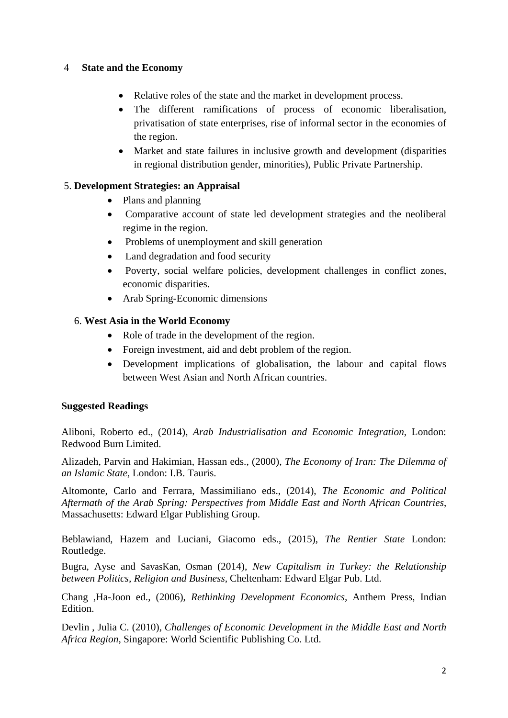### 4 **State and the Economy**

- Relative roles of the state and the market in development process.
- The different ramifications of process of economic liberalisation, privatisation of state enterprises, rise of informal sector in the economies of the region.
- Market and state failures in inclusive growth and development (disparities in regional distribution gender, minorities), Public Private Partnership.

## 5. **Development Strategies: an Appraisal**

- Plans and planning
- Comparative account of state led development strategies and the neoliberal regime in the region.
- Problems of unemployment and skill generation
- Land degradation and food security
- Poverty, social welfare policies, development challenges in conflict zones, economic disparities.
- Arab Spring-Economic dimensions

### 6. **West Asia in the World Economy**

- Role of trade in the development of the region.
- Foreign investment, aid and debt problem of the region.
- Development implications of globalisation, the labour and capital flows between West Asian and North African countries.

### **Suggested Readings**

Aliboni, Roberto ed., (2014), *Arab Industrialisation and Economic Integration*, London: Redwood Burn Limited.

Alizadeh, Parvin and Hakimian, Hassan eds., (2000), *The Economy of Iran: The Dilemma of an Islamic State*, London: I.B. Tauris.

Altomonte, Carlo and Ferrara, Massimiliano eds., (2014), *The Economic and Political Aftermath of the Arab Spring: Perspectives from Middle East and North African Countries*, Massachusetts: Edward Elgar Publishing Group.

Beblawiand, Hazem and Luciani, Giacomo eds., (2015), *The Rentier State* London: Routledge.

Bugra, Ayse and SavasKan, Osman (2014), *New Capitalism in Turkey: the Relationship between Politics, Religion and Business,* Cheltenham: Edward Elgar Pub. Ltd.

Chang ,Ha-Joon ed., (2006), *Rethinking Development Economics,* Anthem Press, Indian Edition.

Devlin , Julia C. (2010), *Challenges of Economic Development in the Middle East and North Africa Region*, Singapore: World Scientific Publishing Co. Ltd.